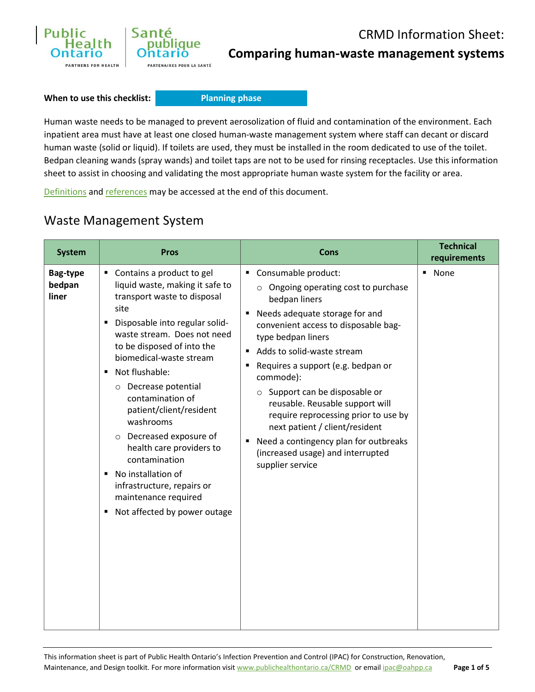

CRMD Information Sheet: **Comparing human-waste management systems**

**When to use this checklist:**

**Planning phase**

Human waste needs to be managed to prevent aerosolization of fluid and contamination of the environment. Each inpatient area must have at least one closed human-waste management system where staff can decant or discard human waste (solid or liquid). If toilets are used, they must be installed in the room dedicated to use of the toilet. Bedpan cleaning wands (spray wands) and toilet taps are not to be used for rinsing receptacles. Use this information sheet to assist in choosing and validating the most appropriate human waste system for the facility or area.

[Definitions](#page-3-0) an[d references](#page-4-0) may be accessed at the end of this document.

#### Waste Management System

| <b>System</b>                      | <b>Pros</b>                                                                                                                                                                                                                                                                                                                                                                                                                                                                                                                                                                     | <b>Cons</b>                                                                                                                                                                                                                                                                                                                                                                                                                                                                                                                                                 | <b>Technical</b><br>requirements |
|------------------------------------|---------------------------------------------------------------------------------------------------------------------------------------------------------------------------------------------------------------------------------------------------------------------------------------------------------------------------------------------------------------------------------------------------------------------------------------------------------------------------------------------------------------------------------------------------------------------------------|-------------------------------------------------------------------------------------------------------------------------------------------------------------------------------------------------------------------------------------------------------------------------------------------------------------------------------------------------------------------------------------------------------------------------------------------------------------------------------------------------------------------------------------------------------------|----------------------------------|
| <b>Bag-type</b><br>bedpan<br>liner | Contains a product to gel<br>٠<br>liquid waste, making it safe to<br>transport waste to disposal<br>site<br>Disposable into regular solid-<br>$\blacksquare$<br>waste stream. Does not need<br>to be disposed of into the<br>biomedical-waste stream<br>Not flushable:<br>٠<br>Decrease potential<br>$\circ$<br>contamination of<br>patient/client/resident<br>washrooms<br>Decreased exposure of<br>$\circ$<br>health care providers to<br>contamination<br>No installation of<br>٠<br>infrastructure, repairs or<br>maintenance required<br>Not affected by power outage<br>Е | Consumable product:<br>٠<br>Ongoing operating cost to purchase<br>bedpan liners<br>Needs adequate storage for and<br>٠<br>convenient access to disposable bag-<br>type bedpan liners<br>Adds to solid-waste stream<br>$\blacksquare$<br>Requires a support (e.g. bedpan or<br>٠<br>commode):<br>Support can be disposable or<br>$\circ$<br>reusable. Reusable support will<br>require reprocessing prior to use by<br>next patient / client/resident<br>Need a contingency plan for outbreaks<br>٠<br>(increased usage) and interrupted<br>supplier service | • None                           |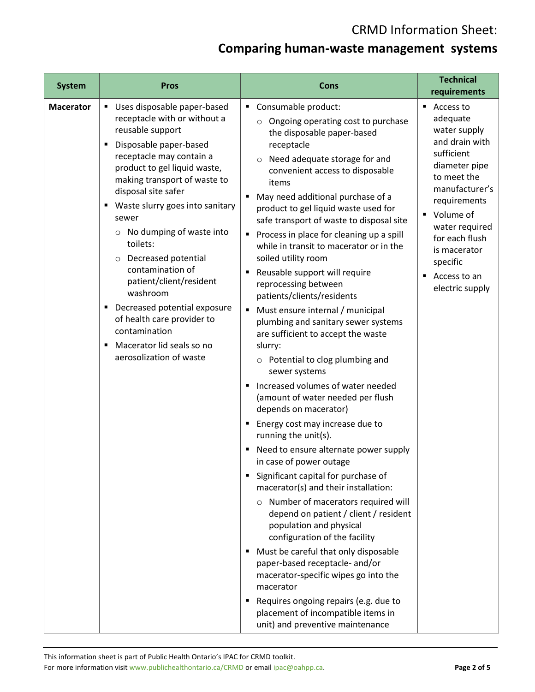# **Comparing human-waste management systems**

| <b>System</b>    | <b>Pros</b>                                                                                                                                                                                                                                                                                                                                                                                                                                                                                                                                                           | Cons                                                                                                                                                                                                                                                                                                                                                                                                                                                                                                                                                                                                                                                                                                                                                                                                                                                                                                                                                                                                                                                                                                                                                                                                                                                                                                                                                                                                                                                                                        | <b>Technical</b><br>requirements                                                                                                                                                                                                                                       |
|------------------|-----------------------------------------------------------------------------------------------------------------------------------------------------------------------------------------------------------------------------------------------------------------------------------------------------------------------------------------------------------------------------------------------------------------------------------------------------------------------------------------------------------------------------------------------------------------------|---------------------------------------------------------------------------------------------------------------------------------------------------------------------------------------------------------------------------------------------------------------------------------------------------------------------------------------------------------------------------------------------------------------------------------------------------------------------------------------------------------------------------------------------------------------------------------------------------------------------------------------------------------------------------------------------------------------------------------------------------------------------------------------------------------------------------------------------------------------------------------------------------------------------------------------------------------------------------------------------------------------------------------------------------------------------------------------------------------------------------------------------------------------------------------------------------------------------------------------------------------------------------------------------------------------------------------------------------------------------------------------------------------------------------------------------------------------------------------------------|------------------------------------------------------------------------------------------------------------------------------------------------------------------------------------------------------------------------------------------------------------------------|
| <b>Macerator</b> | Uses disposable paper-based<br>receptacle with or without a<br>reusable support<br>Disposable paper-based<br>٠<br>receptacle may contain a<br>product to gel liquid waste,<br>making transport of waste to<br>disposal site safer<br>■ Waste slurry goes into sanitary<br>sewer<br>No dumping of waste into<br>toilets:<br>Decreased potential<br>$\circ$<br>contamination of<br>patient/client/resident<br>washroom<br>Decreased potential exposure<br>٠<br>of health care provider to<br>contamination<br>Macerator lid seals so no<br>٠<br>aerosolization of waste | Consumable product:<br>٠<br>Ongoing operating cost to purchase<br>the disposable paper-based<br>receptacle<br>Need adequate storage for and<br>$\circ$<br>convenient access to disposable<br>items<br>May need additional purchase of a<br>п<br>product to gel liquid waste used for<br>safe transport of waste to disposal site<br>Process in place for cleaning up a spill<br>while in transit to macerator or in the<br>soiled utility room<br>Reusable support will require<br>reprocessing between<br>patients/clients/residents<br>Must ensure internal / municipal<br>Е<br>plumbing and sanitary sewer systems<br>are sufficient to accept the waste<br>slurry:<br>Potential to clog plumbing and<br>$\circ$<br>sewer systems<br>Increased volumes of water needed<br>п<br>(amount of water needed per flush<br>depends on macerator)<br>Energy cost may increase due to<br>Е<br>running the unit(s).<br>Need to ensure alternate power supply<br>п<br>in case of power outage<br>Significant capital for purchase of<br>٠<br>macerator(s) and their installation:<br>Number of macerators required will<br>$\circ$<br>depend on patient / client / resident<br>population and physical<br>configuration of the facility<br>Must be careful that only disposable<br>п<br>paper-based receptacle- and/or<br>macerator-specific wipes go into the<br>macerator<br>Requires ongoing repairs (e.g. due to<br>Е<br>placement of incompatible items in<br>unit) and preventive maintenance | Access to<br>٠<br>adequate<br>water supply<br>and drain with<br>sufficient<br>diameter pipe<br>to meet the<br>manufacturer's<br>requirements<br>Volume of<br>٠<br>water required<br>for each flush<br>is macerator<br>specific<br>Access to an<br>п<br>electric supply |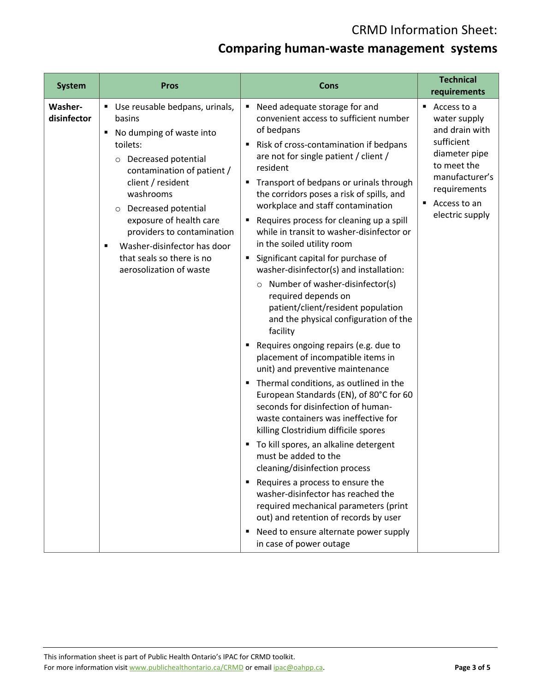# **Comparing human-waste management systems**

| <b>System</b>          | <b>Pros</b>                                                                                                                                                                                                                                                                                                                                                                                 | Cons                                                                                                                                                                                                                                                                                                                                                                                                                                                                                                                                                                                                                                                                                                                                                                                                                                                                                                                                                                                                                                                                                                                                                                                                                                                                                                                                                                                                                    | <b>Technical</b><br>requirements                                                                                                                                           |
|------------------------|---------------------------------------------------------------------------------------------------------------------------------------------------------------------------------------------------------------------------------------------------------------------------------------------------------------------------------------------------------------------------------------------|-------------------------------------------------------------------------------------------------------------------------------------------------------------------------------------------------------------------------------------------------------------------------------------------------------------------------------------------------------------------------------------------------------------------------------------------------------------------------------------------------------------------------------------------------------------------------------------------------------------------------------------------------------------------------------------------------------------------------------------------------------------------------------------------------------------------------------------------------------------------------------------------------------------------------------------------------------------------------------------------------------------------------------------------------------------------------------------------------------------------------------------------------------------------------------------------------------------------------------------------------------------------------------------------------------------------------------------------------------------------------------------------------------------------------|----------------------------------------------------------------------------------------------------------------------------------------------------------------------------|
| Washer-<br>disinfector | Use reusable bedpans, urinals,<br>basins<br>No dumping of waste into<br>$\blacksquare$<br>toilets:<br>Decreased potential<br>$\circ$<br>contamination of patient /<br>client / resident<br>washrooms<br>Decreased potential<br>$\circ$<br>exposure of health care<br>providers to contamination<br>Washer-disinfector has door<br>п<br>that seals so there is no<br>aerosolization of waste | Need adequate storage for and<br>$\blacksquare$<br>convenient access to sufficient number<br>of bedpans<br>Risk of cross-contamination if bedpans<br>٠<br>are not for single patient / client /<br>resident<br>Transport of bedpans or urinals through<br>the corridors poses a risk of spills, and<br>workplace and staff contamination<br>Requires process for cleaning up a spill<br>while in transit to washer-disinfector or<br>in the soiled utility room<br>Significant capital for purchase of<br>٠<br>washer-disinfector(s) and installation:<br>Number of washer-disinfector(s)<br>$\circ$<br>required depends on<br>patient/client/resident population<br>and the physical configuration of the<br>facility<br>Requires ongoing repairs (e.g. due to<br>٠<br>placement of incompatible items in<br>unit) and preventive maintenance<br>Thermal conditions, as outlined in the<br>٠<br>European Standards (EN), of 80°C for 60<br>seconds for disinfection of human-<br>waste containers was ineffective for<br>killing Clostridium difficile spores<br>To kill spores, an alkaline detergent<br>must be added to the<br>cleaning/disinfection process<br>Requires a process to ensure the<br>٠<br>washer-disinfector has reached the<br>required mechanical parameters (print<br>out) and retention of records by user<br>Need to ensure alternate power supply<br>$\blacksquare$<br>in case of power outage | Access to a<br>٠<br>water supply<br>and drain with<br>sufficient<br>diameter pipe<br>to meet the<br>manufacturer's<br>requirements<br>Access to an<br>٠<br>electric supply |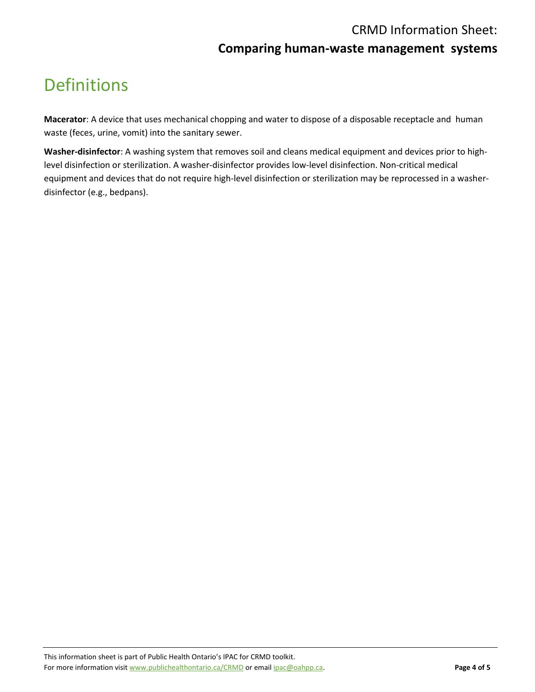#### **Comparing human-waste management systems**

# <span id="page-3-0"></span>Definitions

**Macerator**: A device that uses mechanical chopping and water to dispose of a disposable receptacle and human waste (feces, urine, vomit) into the sanitary sewer.

**Washer-disinfector**: A washing system that removes soil and cleans medical equipment and devices prior to highlevel disinfection or sterilization. A washer-disinfector provides low-level disinfection. Non-critical medical equipment and devices that do not require high-level disinfection or sterilization may be reprocessed in a washerdisinfector (e.g., bedpans).